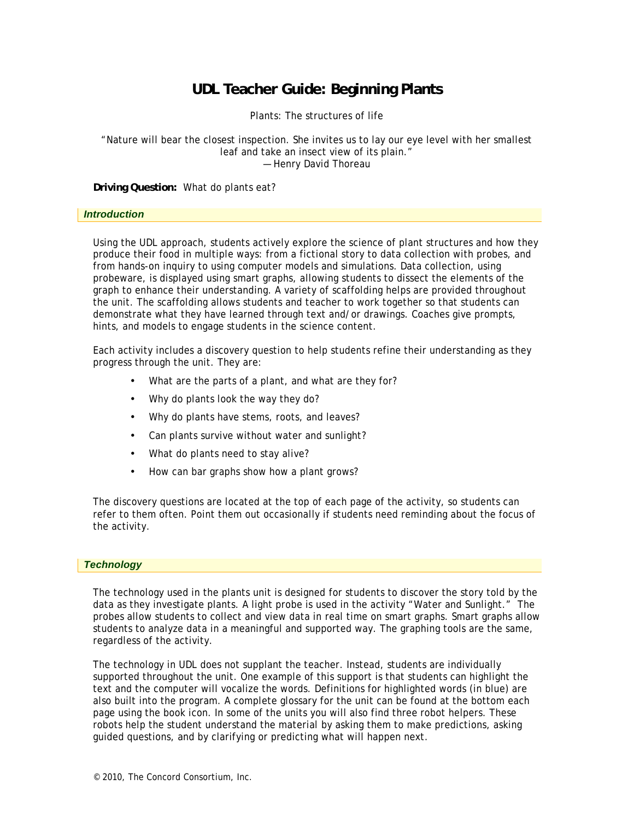## **UDL Teacher Guide: Beginning Plants**

Plants: The structures of life

#### "Nature will bear the closest inspection. She invites us to lay our eye level with her smallest leaf and take an insect view of its plain." — Henry David Thoreau

**Driving Question:** What do plants eat?

#### *Introduction*

Using the UDL approach, students actively explore the science of plant structures and how they produce their food in multiple ways: from a fictional story to data collection with probes, and from hands-on inquiry to using computer models and simulations. Data collection, using probeware, is displayed using smart graphs, allowing students to dissect the elements of the graph to enhance their understanding. A variety of scaffolding helps are provided throughout the unit. The scaffolding allows students and teacher to work together so that students can demonstrate what they have learned through text and/or drawings. Coaches give prompts, hints, and models to engage students in the science content.

Each activity includes a discovery question to help students refine their understanding as they progress through the unit. They are:

- What are the parts of a plant, and what are they for?
- Why do plants look the way they do?
- Why do plants have stems, roots, and leaves?
- Can plants survive without water and sunlight?
- What do plants need to stay alive?
- How can bar graphs show how a plant grows?

The discovery questions are located at the top of each page of the activity, so students can refer to them often. Point them out occasionally if students need reminding about the focus of the activity.

#### *Technology*

The technology used in the plants unit is designed for students to discover the story told by the data as they investigate plants. A light probe is used in the activity "Water and Sunlight." The probes allow students to collect and view data in real time on smart graphs. Smart graphs allow students to analyze data in a meaningful and supported way. The graphing tools are the same, regardless of the activity.

The technology in UDL does not supplant the teacher. Instead, students are individually supported throughout the unit. One example of this support is that students can highlight the text and the computer will vocalize the words. Definitions for highlighted words (in blue) are also built into the program. A complete glossary for the unit can be found at the bottom each page using the book icon. In some of the units you will also find three robot helpers. These robots help the student understand the material by asking them to make predictions, asking guided questions, and by clarifying or predicting what will happen next.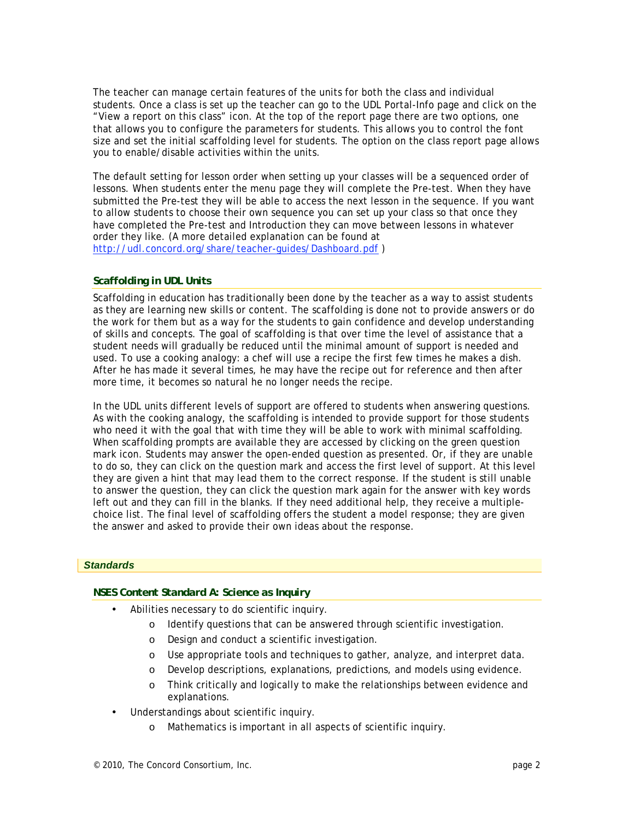The teacher can manage certain features of the units for both the class and individual students. Once a class is set up the teacher can go to the UDL Portal-Info page and click on the "View a report on this class" icon. At the top of the report page there are two options, one that allows you to configure the parameters for students. This allows you to control the font size and set the initial scaffolding level for students. The option on the class report page allows you to enable/disable activities within the units.

The default setting for lesson order when setting up your classes will be a sequenced order of lessons. When students enter the menu page they will complete the Pre-test. When they have submitted the Pre-test they will be able to access the next lesson in the sequence. If you want to allow students to choose their own sequence you can set up your class so that once they have completed the Pre-test and Introduction they can move between lessons in whatever order they like. (A more detailed explanation can be found at http://udl.concord.org/share/teacher-guides/Dashboard.pdf )

#### *Scaffolding in UDL Units*

Scaffolding in education has traditionally been done by the teacher as a way to assist students as they are learning new skills or content. The scaffolding is done not to provide answers or do the work for them but as a way for the students to gain confidence and develop understanding of skills and concepts. The goal of scaffolding is that over time the level of assistance that a student needs will gradually be reduced until the minimal amount of support is needed and used. To use a cooking analogy: a chef will use a recipe the first few times he makes a dish. After he has made it several times, he may have the recipe out for reference and then after more time, it becomes so natural he no longer needs the recipe.

In the UDL units different levels of support are offered to students when answering questions. As with the cooking analogy, the scaffolding is intended to provide support for those students who need it with the goal that with time they will be able to work with minimal scaffolding. When scaffolding prompts are available they are accessed by clicking on the green question mark icon. Students may answer the open-ended question as presented. Or, if they are unable to do so, they can click on the question mark and access the first level of support. At this level they are given a hint that may lead them to the correct response. If the student is still unable to answer the question, they can click the question mark again for the answer with key words left out and they can fill in the blanks. If they need additional help, they receive a multiplechoice list. The final level of scaffolding offers the student a model response; they are given the answer and asked to provide their own ideas about the response.

#### *Standards*

#### *NSES Content Standard A: Science as Inquiry*

- Abilities necessary to do scientific inquiry.
	- o Identify questions that can be answered through scientific investigation.
	- o Design and conduct a scientific investigation.
	- o Use appropriate tools and techniques to gather, analyze, and interpret data.
	- o Develop descriptions, explanations, predictions, and models using evidence.
	- o Think critically and logically to make the relationships between evidence and explanations.
- Understandings about scientific inquiry.
	- o Mathematics is important in all aspects of scientific inquiry.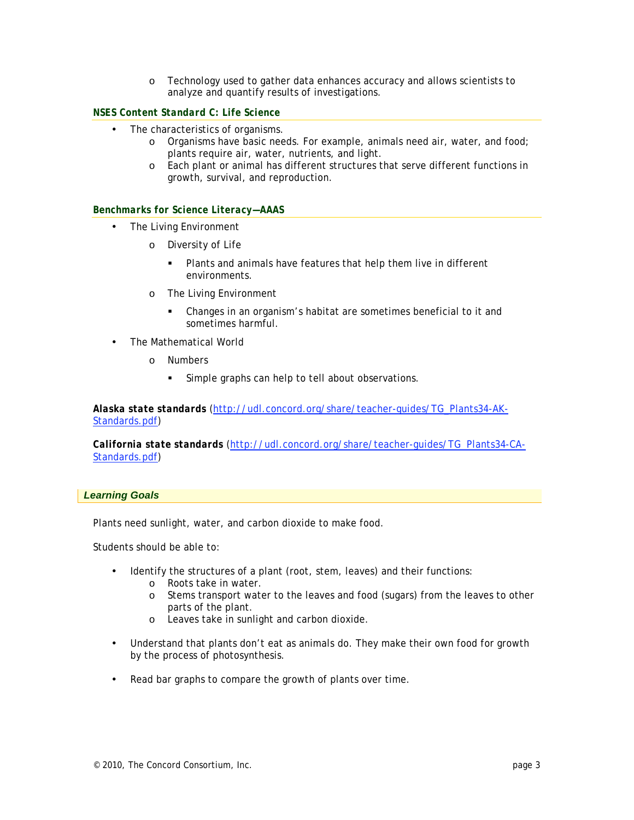o Technology used to gather data enhances accuracy and allows scientists to analyze and quantify results of investigations.

#### *NSES Content Standard C: Life Science*

- The characteristics of organisms.
	- o Organisms have basic needs. For example, animals need air, water, and food; plants require air, water, nutrients, and light.
	- o Each plant or animal has different structures that serve different functions in growth, survival, and reproduction.

#### *Benchmarks for Science Literacy—AAAS*

- The Living Environment
	- o Diversity of Life
		- Plants and animals have features that help them live in different environments.
	- o The Living Environment
		- Changes in an organism's habitat are sometimes beneficial to it and sometimes harmful.
- The Mathematical World
	- o Numbers
		- Simple graphs can help to tell about observations.

*Alaska state standards* (http://udl.concord.org/share/teacher-guides/TG\_Plants34-AK-Standards.pdf)

*California state standards* (http://udl.concord.org/share/teacher-guides/TG\_Plants34-CA-Standards.pdf)

#### *Learning Goals*

Plants need sunlight, water, and carbon dioxide to make food.

Students should be able to:

- Identify the structures of a plant (root, stem, leaves) and their functions:
	- o Roots take in water.
	- o Stems transport water to the leaves and food (sugars) from the leaves to other parts of the plant.
	- o Leaves take in sunlight and carbon dioxide.
- Understand that plants don't eat as animals do. They make their own food for growth by the process of photosynthesis.
- Read bar graphs to compare the growth of plants over time.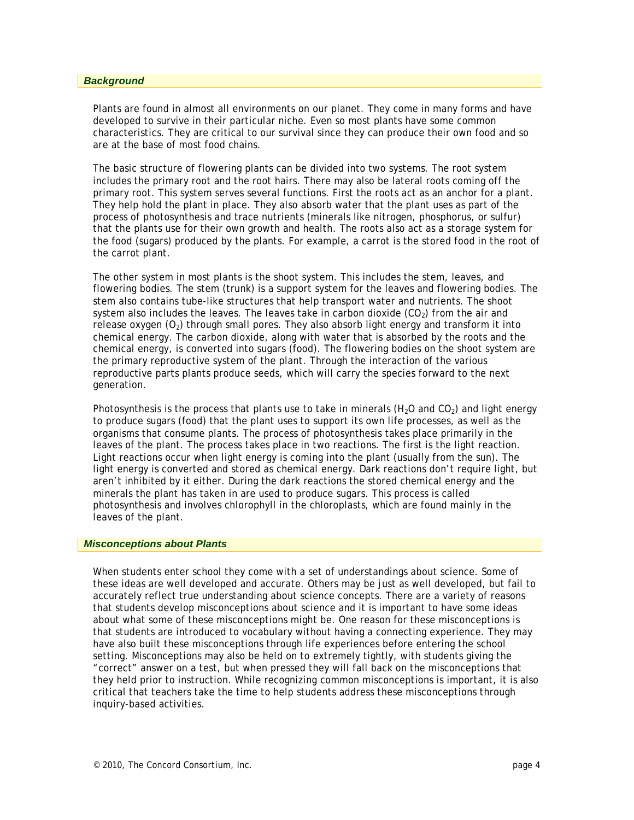#### *Background*

Plants are found in almost all environments on our planet. They come in many forms and have developed to survive in their particular niche. Even so most plants have some common characteristics. They are critical to our survival since they can produce their own food and so are at the base of most food chains.

The basic structure of flowering plants can be divided into two systems. The root system includes the primary root and the root hairs. There may also be lateral roots coming off the primary root. This system serves several functions. First the roots act as an anchor for a plant. They help hold the plant in place. They also absorb water that the plant uses as part of the process of photosynthesis and trace nutrients (minerals like nitrogen, phosphorus, or sulfur) that the plants use for their own growth and health. The roots also act as a storage system for the food (sugars) produced by the plants. For example, a carrot is the stored food in the root of the carrot plant.

The other system in most plants is the shoot system. This includes the stem, leaves, and flowering bodies. The stem (trunk) is a support system for the leaves and flowering bodies. The stem also contains tube-like structures that help transport water and nutrients. The shoot system also includes the leaves. The leaves take in carbon dioxide  $(CO<sub>2</sub>)$  from the air and release oxygen  $(O_2)$  through small pores. They also absorb light energy and transform it into chemical energy. The carbon dioxide, along with water that is absorbed by the roots and the chemical energy, is converted into sugars (food). The flowering bodies on the shoot system are the primary reproductive system of the plant. Through the interaction of the various reproductive parts plants produce seeds, which will carry the species forward to the next generation.

Photosynthesis is the process that plants use to take in minerals ( $H<sub>2</sub>O$  and CO<sub>2</sub>) and light energy to produce sugars (food) that the plant uses to support its own life processes, as well as the organisms that consume plants. The process of photosynthesis takes place primarily in the leaves of the plant. The process takes place in two reactions. The first is the light reaction. Light reactions occur when light energy is coming into the plant (usually from the sun). The light energy is converted and stored as chemical energy. Dark reactions don't require light, but aren't inhibited by it either. During the dark reactions the stored chemical energy and the minerals the plant has taken in are used to produce sugars. This process is called photosynthesis and involves chlorophyll in the chloroplasts, which are found mainly in the leaves of the plant.

#### *Misconceptions about Plants*

When students enter school they come with a set of understandings about science. Some of these ideas are well developed and accurate. Others may be just as well developed, but fail to accurately reflect true understanding about science concepts. There are a variety of reasons that students develop misconceptions about science and it is important to have some ideas about what some of these misconceptions might be. One reason for these misconceptions is that students are introduced to vocabulary without having a connecting experience. They may have also built these misconceptions through life experiences before entering the school setting. Misconceptions may also be held on to extremely tightly, with students giving the "correct" answer on a test, but when pressed they will fall back on the misconceptions that they held prior to instruction. While recognizing common misconceptions is important, it is also critical that teachers take the time to help students address these misconceptions through inquiry-based activities.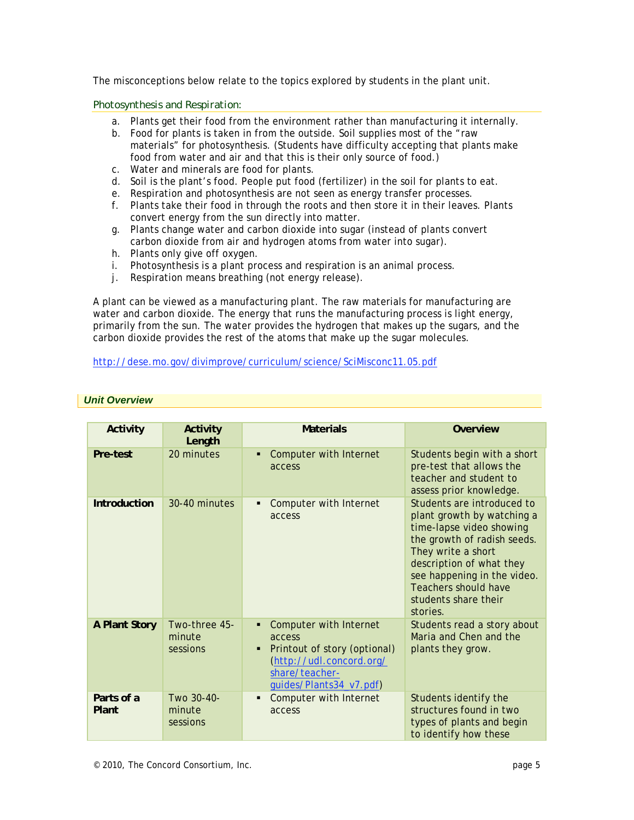The misconceptions below relate to the topics explored by students in the plant unit.

*Photosynthesis and Respiration:* 

- a. Plants get their food from the environment rather than manufacturing it internally.
- b. Food for plants is taken in from the outside. Soil supplies most of the "raw materials" for photosynthesis. (Students have difficulty accepting that plants make food from water and air and that this is their only source of food.)
- c. Water and minerals are food for plants.
- d. Soil is the plant's food. People put food (fertilizer) in the soil for plants to eat.
- e. Respiration and photosynthesis are not seen as energy transfer processes.
- f. Plants take their food in through the roots and then store it in their leaves. Plants convert energy from the sun directly into matter.
- g. Plants change water and carbon dioxide into sugar (instead of plants convert carbon dioxide from air and hydrogen atoms from water into sugar).
- h. Plants only give off oxygen.
- i. Photosynthesis is a plant process and respiration is an animal process.
- j. Respiration means breathing (not energy release).

A plant can be viewed as a manufacturing plant. The raw materials for manufacturing are water and carbon dioxide. The energy that runs the manufacturing process is light energy, primarily from the sun. The water provides the hydrogen that makes up the sugars, and the carbon dioxide provides the rest of the atoms that make up the sugar molecules.

http://dese.mo.gov/divimprove/curriculum/science/SciMisconc11.05.pdf

| Activity            | Activity<br>Length                  | <b>Materials</b>                                                                                                                                      | Overview                                                                                                                                                                                                                                                                |
|---------------------|-------------------------------------|-------------------------------------------------------------------------------------------------------------------------------------------------------|-------------------------------------------------------------------------------------------------------------------------------------------------------------------------------------------------------------------------------------------------------------------------|
| Pre-test            | 20 minutes                          | Computer with Internet<br>access                                                                                                                      | Students begin with a short<br>pre-test that allows the<br>teacher and student to<br>assess prior knowledge.                                                                                                                                                            |
| <b>Introduction</b> | 30-40 minutes                       | Computer with Internet<br>٠<br>access                                                                                                                 | Students are introduced to<br>plant growth by watching a<br>time-lapse video showing<br>the growth of radish seeds.<br>They write a short<br>description of what they<br>see happening in the video.<br><b>Teachers should have</b><br>students share their<br>stories. |
| A Plant Story       | Two-three 45-<br>minute<br>sessions | <b>Computer with Internet</b><br>access<br>Printout of story (optional)<br>٠<br>(http://udl.concord.org/<br>share/teacher-<br>guides/Plants34_v7.pdf) | Students read a story about<br>Maria and Chen and the<br>plants they grow.                                                                                                                                                                                              |
| Parts of a<br>Plant | Two 30-40-<br>minute<br>sessions    | Computer with Internet<br>access                                                                                                                      | Students identify the<br>structures found in two<br>types of plants and begin<br>to identify how these                                                                                                                                                                  |

#### *Unit Overview*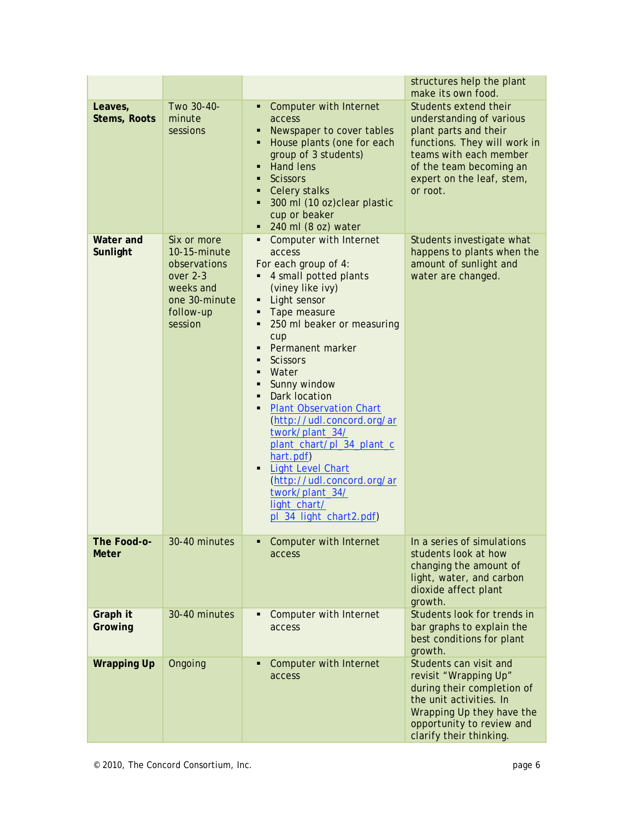|                                |                                                                                                               |                                                                                                                                                                                                                                                                                                                                                                                                                                                                                                                                                          | structures help the plant<br>make its own food.                                                                                                                                                          |
|--------------------------------|---------------------------------------------------------------------------------------------------------------|----------------------------------------------------------------------------------------------------------------------------------------------------------------------------------------------------------------------------------------------------------------------------------------------------------------------------------------------------------------------------------------------------------------------------------------------------------------------------------------------------------------------------------------------------------|----------------------------------------------------------------------------------------------------------------------------------------------------------------------------------------------------------|
| Leaves,<br><b>Stems, Roots</b> | Two 30-40-<br>minute<br>sessions                                                                              | <b>Computer with Internet</b><br>access<br>Newspaper to cover tables<br>House plants (one for each<br>group of 3 students)<br><b>Hand lens</b><br><b>Scissors</b><br>п<br>Celery stalks<br>300 ml (10 oz)clear plastic<br>cup or beaker<br>240 ml (8 oz) water                                                                                                                                                                                                                                                                                           | Students extend their<br>understanding of various<br>plant parts and their<br>functions. They will work in<br>teams with each member<br>of the team becoming an<br>expert on the leaf, stem,<br>or root. |
| Water and<br>Sunlight          | Six or more<br>10-15-minute<br>observations<br>over 2-3<br>weeks and<br>one 30-minute<br>follow-up<br>session | <b>Computer with Internet</b><br>access<br>For each group of 4:<br>4 small potted plants<br>(viney like ivy)<br>Light sensor<br>Tape measure<br>250 ml beaker or measuring<br>٠<br>cup<br>Permanent marker<br><b>Scissors</b><br>Water<br>Sunny window<br>٠<br>Dark location<br>$\blacksquare$<br><b>Plant Observation Chart</b><br>٠<br>(http://udl.concord.org/ar<br>twork/plant_34/<br>plant_chart/pl_34_plant_c<br>hart.pdf)<br><b>Light Level Chart</b><br>(http://udl.concord.org/ar<br>twork/plant_34/<br>light_chart/<br>pl_34_light_chart2.pdf) | Students investigate what<br>happens to plants when the<br>amount of sunlight and<br>water are changed.                                                                                                  |
| The Food-o-<br><b>Meter</b>    | 30-40 minutes                                                                                                 | Computer with Internet<br>access                                                                                                                                                                                                                                                                                                                                                                                                                                                                                                                         | In a series of simulations<br>students look at how<br>changing the amount of<br>light, water, and carbon<br>dioxide affect plant<br>growth.                                                              |
| Graph it<br>Growing            | 30-40 minutes                                                                                                 | Computer with Internet<br>access                                                                                                                                                                                                                                                                                                                                                                                                                                                                                                                         | Students look for trends in<br>bar graphs to explain the<br>best conditions for plant<br>growth.                                                                                                         |
| <b>Wrapping Up</b>             | Ongoing                                                                                                       | Computer with Internet<br>access                                                                                                                                                                                                                                                                                                                                                                                                                                                                                                                         | Students can visit and<br>revisit "Wrapping Up"<br>during their completion of<br>the unit activities. In<br>Wrapping Up they have the<br>opportunity to review and<br>clarify their thinking.            |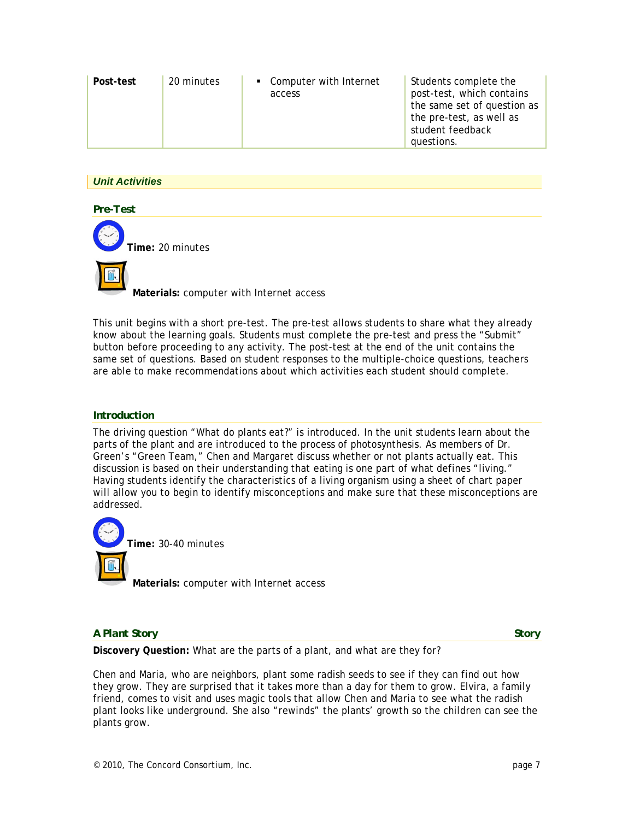| 20 minutes<br>Post-test | • Computer with Internet<br>access | Students complete the<br>post-test, which contains<br>the same set of question as<br>the pre-test, as well as<br>student feedback<br>questions. |
|-------------------------|------------------------------------|-------------------------------------------------------------------------------------------------------------------------------------------------|
|-------------------------|------------------------------------|-------------------------------------------------------------------------------------------------------------------------------------------------|

## *Unit Activities*

*Pre-Test* 

**Time:** 20 minutes

**Materials:** computer with Internet access

This unit begins with a short pre-test. The pre-test allows students to share what they already know about the learning goals. Students must complete the pre-test and press the "Submit" button before proceeding to any activity. The post-test at the end of the unit contains the same set of questions. Based on student responses to the multiple-choice questions, teachers are able to make recommendations about which activities each student should complete.

#### *Introduction*

The driving question "What do plants eat?" is introduced. In the unit students learn about the parts of the plant and are introduced to the process of photosynthesis. As members of Dr. Green's "Green Team," Chen and Margaret discuss whether or not plants actually eat. This discussion is based on their understanding that eating is one part of what defines "living." Having students identify the characteristics of a living organism using a sheet of chart paper will allow you to begin to identify misconceptions and make sure that these misconceptions are addressed.



**Time:** 30-40 minutes

**Materials:** computer with Internet access

#### *A Plant Story Story Story Story Story Story Story Story Story Story Story Story Story Story Story Story Story Story Story Story Story Story Story Story Story Story Story*

**Discovery Question:** What are the parts of a plant, and what are they for?

Chen and Maria, who are neighbors, plant some radish seeds to see if they can find out how they grow. They are surprised that it takes more than a day for them to grow. Elvira, a family friend, comes to visit and uses magic tools that allow Chen and Maria to see what the radish plant looks like underground. She also "rewinds" the plants' growth so the children can see the plants grow.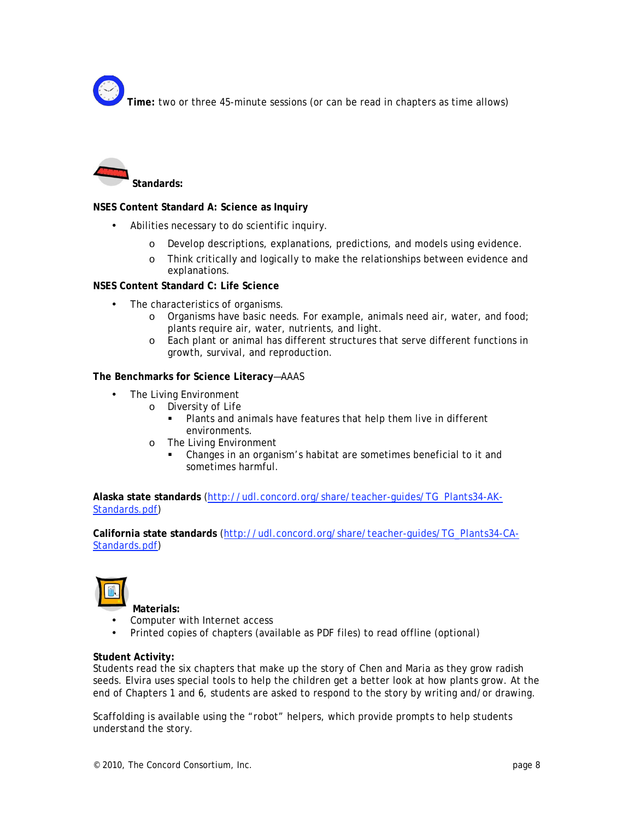**Time:** two or three 45-minute sessions (or can be read in chapters as time allows)



## **NSES Content Standard A: Science as Inquiry**

- Abilities necessary to do scientific inquiry.
	- o Develop descriptions, explanations, predictions, and models using evidence.
	- o Think critically and logically to make the relationships between evidence and explanations.

#### **NSES Content Standard C: Life Science**

- The characteristics of organisms.
	- o Organisms have basic needs. For example, animals need air, water, and food; plants require air, water, nutrients, and light.
	- o Each plant or animal has different structures that serve different functions in growth, survival, and reproduction.

#### **The Benchmarks for Science Literacy**—AAAS

- The Living Environment
	- o Diversity of Life
		- Plants and animals have features that help them live in different environments.
	- o The Living Environment
		- Changes in an organism's habitat are sometimes beneficial to it and sometimes harmful.

**Alaska state standards** (http://udl.concord.org/share/teacher-guides/TG\_Plants34-AK-Standards.pdf)

**California state standards** (http://udl.concord.org/share/teacher-guides/TG\_Plants34-CA-Standards.pdf)



**Materials:** 

- Computer with Internet access
- Printed copies of chapters (available as PDF files) to read offline (optional)

#### **Student Activity:**

Students read the six chapters that make up the story of Chen and Maria as they grow radish seeds. Elvira uses special tools to help the children get a better look at how plants grow. At the end of Chapters 1 and 6, students are asked to respond to the story by writing and/or drawing.

Scaffolding is available using the "robot" helpers, which provide prompts to help students understand the story.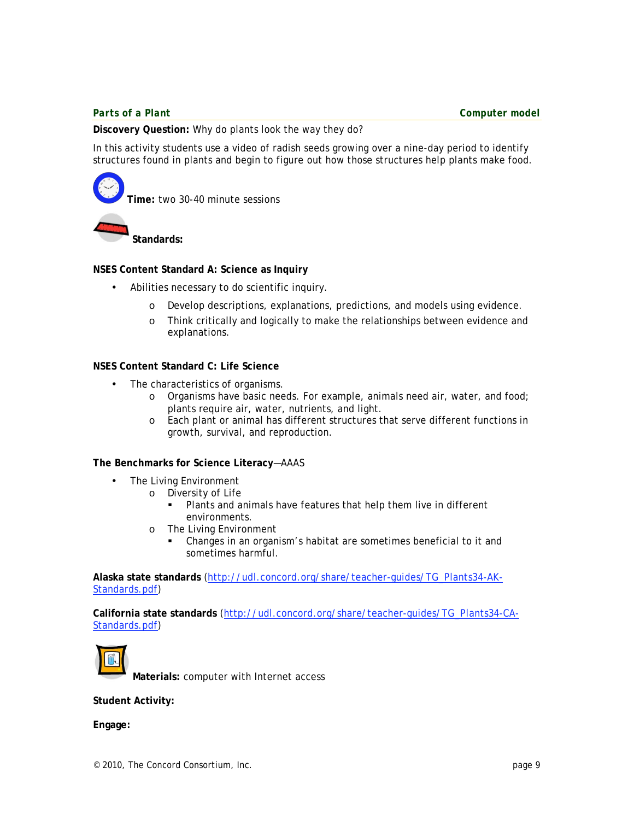**Discovery Question:** Why do plants look the way they do?

In this activity students use a video of radish seeds growing over a nine-day period to identify structures found in plants and begin to figure out how those structures help plants make food.

**Time:** two 30-40 minute sessions

**Standards:**

#### **NSES Content Standard A: Science as Inquiry**

- Abilities necessary to do scientific inquiry.
	- o Develop descriptions, explanations, predictions, and models using evidence.
	- o Think critically and logically to make the relationships between evidence and explanations.

#### **NSES Content Standard C: Life Science**

- The characteristics of organisms.
	- o Organisms have basic needs. For example, animals need air, water, and food; plants require air, water, nutrients, and light.
	- o Each plant or animal has different structures that serve different functions in growth, survival, and reproduction.

#### **The Benchmarks for Science Literacy**—AAAS

- The Living Environment
	- o Diversity of Life
		- Plants and animals have features that help them live in different environments.
	- o The Living Environment
		- Changes in an organism's habitat are sometimes beneficial to it and sometimes harmful.

**Alaska state standards** (http://udl.concord.org/share/teacher-guides/TG\_Plants34-AK-Standards.pdf)

**California state standards** (http://udl.concord.org/share/teacher-guides/TG\_Plants34-CA-Standards.pdf)



**Materials:** computer with Internet access

**Student Activity:**

**Engage:**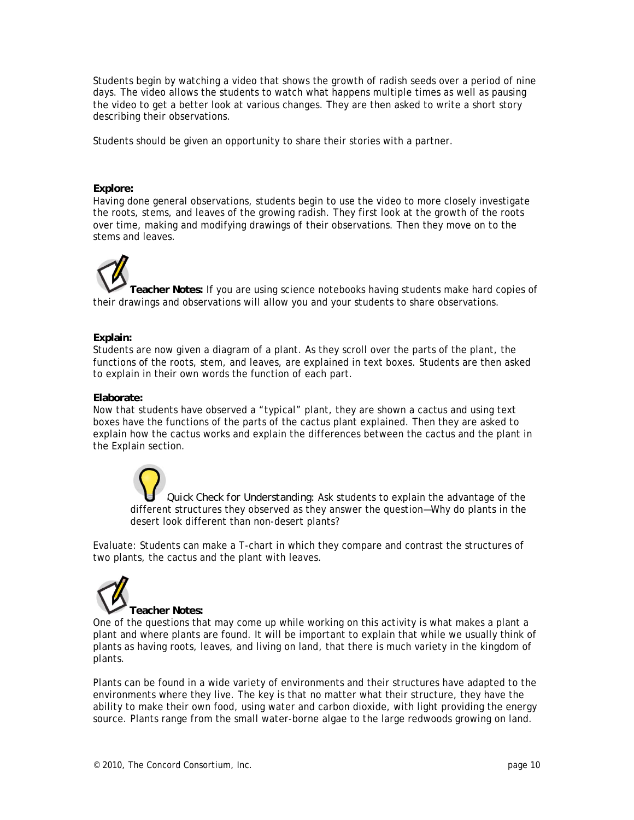Students begin by watching a video that shows the growth of radish seeds over a period of nine days. The video allows the students to watch what happens multiple times as well as pausing the video to get a better look at various changes. They are then asked to write a short story describing their observations.

Students should be given an opportunity to share their stories with a partner.

#### **Explore:**

Having done general observations, students begin to use the video to more closely investigate the roots, stems, and leaves of the growing radish. They first look at the growth of the roots over time, making and modifying drawings of their observations. Then they move on to the stems and leaves.

**Teacher Notes:** If you are using science notebooks having students make hard copies of their drawings and observations will allow you and your students to share observations.

#### **Explain:**

Students are now given a diagram of a plant. As they scroll over the parts of the plant, the functions of the roots, stem, and leaves, are explained in text boxes. Students are then asked to explain in their own words the function of each part.

#### **Elaborate:**

Now that students have observed a "typical" plant, they are shown a cactus and using text boxes have the functions of the parts of the cactus plant explained. Then they are asked to explain how the cactus works and explain the differences between the cactus and the plant in the Explain section.

*Quick Check for Understanding:* Ask students to explain the advantage of the different structures they observed as they answer the question—Why do plants in the desert look different than non-desert plants?

Evaluate: Students can make a T-chart in which they compare and contrast the structures of two plants, the cactus and the plant with leaves.



One of the questions that may come up while working on this activity is what makes a plant a plant and where plants are found. It will be important to explain that while we usually think of plants as having roots, leaves, and living on land, that there is much variety in the kingdom of plants.

Plants can be found in a wide variety of environments and their structures have adapted to the environments where they live. The key is that no matter what their structure, they have the ability to make their own food, using water and carbon dioxide, with light providing the energy source. Plants range from the small water-borne algae to the large redwoods growing on land.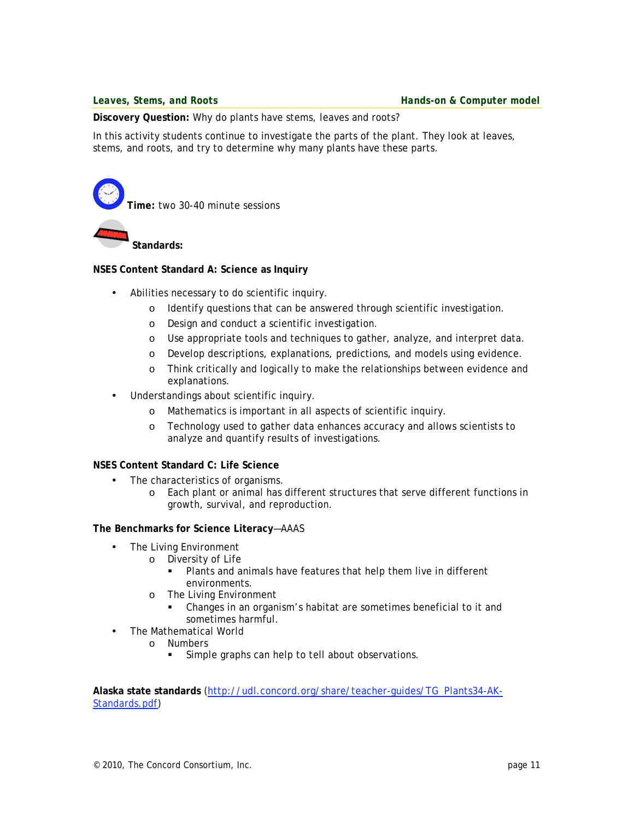**Discovery Question:** Why do plants have stems, leaves and roots?

In this activity students continue to investigate the parts of the plant. They look at leaves, stems, and roots, and try to determine why many plants have these parts.

**Time:** two 30-40 minute sessions **Standards:** 

#### **NSES Content Standard A: Science as Inquiry**

- Abilities necessary to do scientific inquiry.
	- o Identify questions that can be answered through scientific investigation.
	- o Design and conduct a scientific investigation.
	- o Use appropriate tools and techniques to gather, analyze, and interpret data.
	- o Develop descriptions, explanations, predictions, and models using evidence.
	- o Think critically and logically to make the relationships between evidence and explanations.
- Understandings about scientific inquiry.
	- o Mathematics is important in all aspects of scientific inquiry.
	- o Technology used to gather data enhances accuracy and allows scientists to analyze and quantify results of investigations.

#### **NSES Content Standard C: Life Science**

- The characteristics of organisms.
	- o Each plant or animal has different structures that serve different functions in growth, survival, and reproduction.

#### **The Benchmarks for Science Literacy**—AAAS

- The Living Environment
	- o Diversity of Life
		- Plants and animals have features that help them live in different environments.
	- o The Living Environment
		- Changes in an organism's habitat are sometimes beneficial to it and sometimes harmful.
- The Mathematical World
	- o Numbers
		- **Simple graphs can help to tell about observations.**

**Alaska state standards** (http://udl.concord.org/share/teacher-guides/TG\_Plants34-AK-Standards.pdf)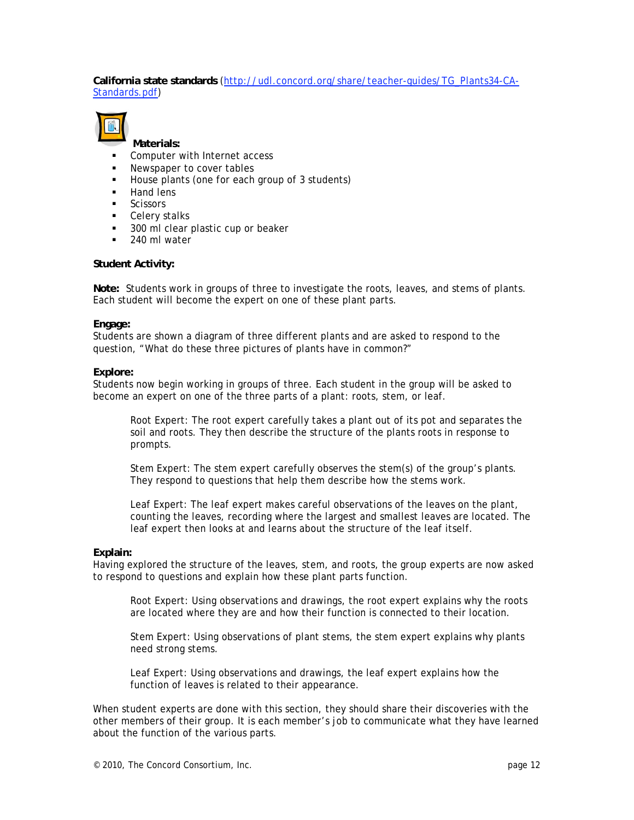## **California state standards** (http://udl.concord.org/share/teacher-guides/TG\_Plants34-CA-Standards.pdf)



**Materials:**

- Computer with Internet access
- Newspaper to cover tables
- House plants (one for each group of 3 students)
- Hand lens
- **Scissors**
- **Celery stalks**
- **300 ml clear plastic cup or beaker**
- 240 ml water

#### **Student Activity:**

**Note:** Students work in groups of three to investigate the roots, leaves, and stems of plants. Each student will become the expert on one of these plant parts.

#### **Engage:**

Students are shown a diagram of three different plants and are asked to respond to the question, "What do these three pictures of plants have in common?"

#### **Explore:**

Students now begin working in groups of three. Each student in the group will be asked to become an expert on one of the three parts of a plant: roots, stem, or leaf.

Root Expert: The root expert carefully takes a plant out of its pot and separates the soil and roots. They then describe the structure of the plants roots in response to prompts.

Stem Expert: The stem expert carefully observes the stem(s) of the group's plants. They respond to questions that help them describe how the stems work.

Leaf Expert: The leaf expert makes careful observations of the leaves on the plant, counting the leaves, recording where the largest and smallest leaves are located. The leaf expert then looks at and learns about the structure of the leaf itself.

#### **Explain:**

Having explored the structure of the leaves, stem, and roots, the group experts are now asked to respond to questions and explain how these plant parts function.

Root Expert: Using observations and drawings, the root expert explains why the roots are located where they are and how their function is connected to their location.

Stem Expert: Using observations of plant stems, the stem expert explains why plants need strong stems.

Leaf Expert: Using observations and drawings, the leaf expert explains how the function of leaves is related to their appearance.

When student experts are done with this section, they should share their discoveries with the other members of their group. It is each member's job to communicate what they have learned about the function of the various parts.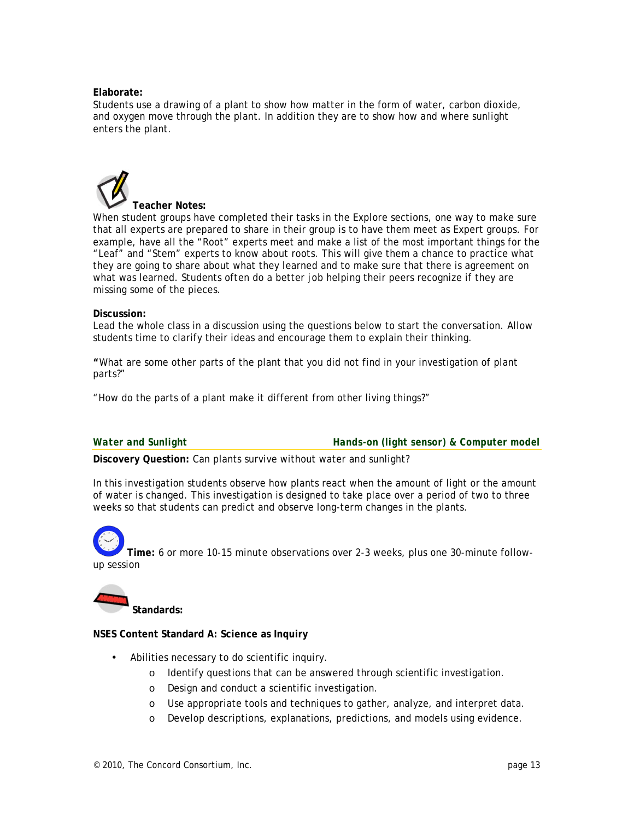#### **Elaborate:**

Students use a drawing of a plant to show how matter in the form of water, carbon dioxide, and oxygen move through the plant. In addition they are to show how and where sunlight enters the plant.

# **Teacher Notes:**

When student groups have completed their tasks in the Explore sections, one way to make sure that all experts are prepared to share in their group is to have them meet as Expert groups. For example, have all the "Root" experts meet and make a list of the most important things for the "Leaf" and "Stem" experts to know about roots. This will give them a chance to practice what they are going to share about what they learned and to make sure that there is agreement on what was learned. Students often do a better job helping their peers recognize if they are missing some of the pieces.

#### **Discussion:**

Lead the whole class in a discussion using the questions below to start the conversation. Allow students time to clarify their ideas and encourage them to explain their thinking.

**"**What are some other parts of the plant that you did not find in your investigation of plant parts?"

"How do the parts of a plant make it different from other living things?"

*Water and Sunlight Hands-on (light sensor) & Computer model* 

**Discovery Question:** Can plants survive without water and sunlight?

In this investigation students observe how plants react when the amount of light or the amount of water is changed. This investigation is designed to take place over a period of two to three weeks so that students can predict and observe long-term changes in the plants.

**Time:** 6 or more 10-15 minute observations over 2-3 weeks, plus one 30-minute followup session

**Standards:**

#### **NSES Content Standard A: Science as Inquiry**

- Abilities necessary to do scientific inquiry.
	- o Identify questions that can be answered through scientific investigation.
	- o Design and conduct a scientific investigation.
	- o Use appropriate tools and techniques to gather, analyze, and interpret data.
	- o Develop descriptions, explanations, predictions, and models using evidence.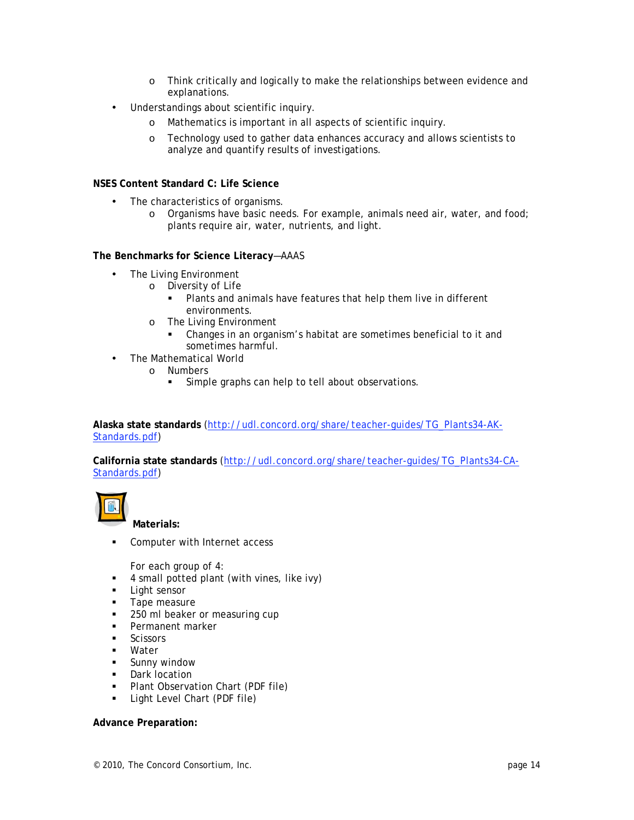- o Think critically and logically to make the relationships between evidence and explanations.
- Understandings about scientific inquiry.
	- o Mathematics is important in all aspects of scientific inquiry.
	- o Technology used to gather data enhances accuracy and allows scientists to analyze and quantify results of investigations.

#### **NSES Content Standard C: Life Science**

- The characteristics of organisms.
	- o Organisms have basic needs. For example, animals need air, water, and food; plants require air, water, nutrients, and light.

#### **The Benchmarks for Science Literacy**—AAAS

- The Living Environment
	- o Diversity of Life
		- Plants and animals have features that help them live in different environments.
	- o The Living Environment
		- Changes in an organism's habitat are sometimes beneficial to it and sometimes harmful.
- The Mathematical World
	- o Numbers
		- Simple graphs can help to tell about observations.

**Alaska state standards** (http://udl.concord.org/share/teacher-guides/TG\_Plants34-AK-Standards.pdf)

**California state standards** (http://udl.concord.org/share/teacher-guides/TG\_Plants34-CA-Standards.pdf)



**Materials:** 

**Computer with Internet access** 

For each group of 4:

- 4 small potted plant (with vines, like ivy)
- **Light sensor**
- **Tape measure**
- 250 ml beaker or measuring cup
- **Permanent marker**
- **Scissors**
- Water
- **Sunny window**
- **Dark location**
- **Plant Observation Chart (PDF file)**
- **Light Level Chart (PDF file)**

#### **Advance Preparation:**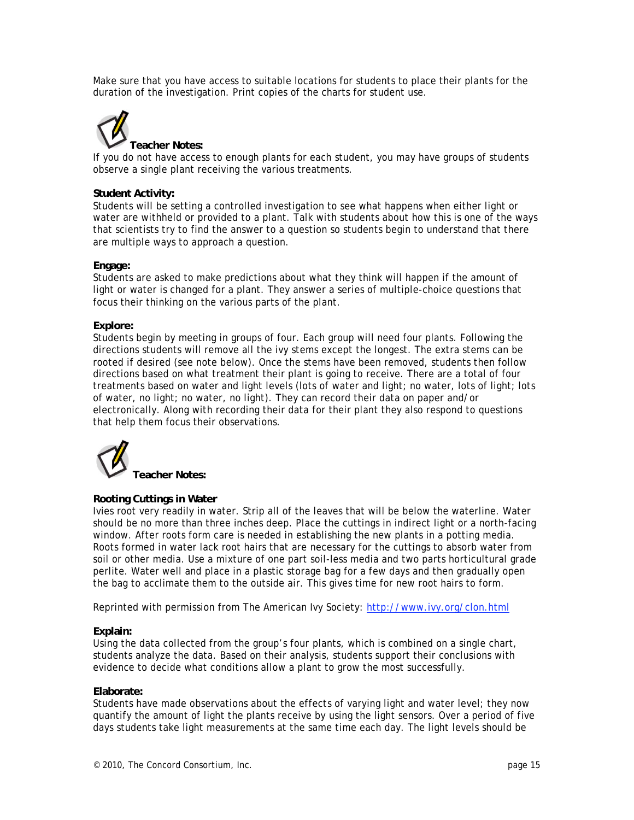Make sure that you have access to suitable locations for students to place their plants for the duration of the investigation. Print copies of the charts for student use.



If you do not have access to enough plants for each student, you may have groups of students observe a single plant receiving the various treatments.

#### **Student Activity:**

Students will be setting a controlled investigation to see what happens when either light or water are withheld or provided to a plant. Talk with students about how this is one of the ways that scientists try to find the answer to a question so students begin to understand that there are multiple ways to approach a question.

#### **Engage:**

Students are asked to make predictions about what they think will happen if the amount of light or water is changed for a plant. They answer a series of multiple-choice questions that focus their thinking on the various parts of the plant.

#### **Explore:**

Students begin by meeting in groups of four. Each group will need four plants. Following the directions students will remove all the ivy stems except the longest. The extra stems can be rooted if desired (see note below). Once the stems have been removed, students then follow directions based on what treatment their plant is going to receive. There are a total of four treatments based on water and light levels (lots of water and light; no water, lots of light; lots of water, no light; no water, no light). They can record their data on paper and/or electronically. Along with recording their data for their plant they also respond to questions that help them focus their observations.



## **Rooting Cuttings in Water**

Ivies root very readily in water. Strip all of the leaves that will be below the waterline. Water should be no more than three inches deep. Place the cuttings in indirect light or a north-facing window. After roots form care is needed in establishing the new plants in a potting media. Roots formed in water lack root hairs that are necessary for the cuttings to absorb water from soil or other media. Use a mixture of one part soil-less media and two parts horticultural grade perlite. Water well and place in a plastic storage bag for a few days and then gradually open the bag to acclimate them to the outside air. This gives time for new root hairs to form.

Reprinted with permission from The American Ivy Society: http://www.ivy.org/clon.html

#### **Explain:**

Using the data collected from the group's four plants, which is combined on a single chart, students analyze the data. Based on their analysis, students support their conclusions with evidence to decide what conditions allow a plant to grow the most successfully.

#### **Elaborate:**

Students have made observations about the effects of varying light and water level; they now quantify the amount of light the plants receive by using the light sensors. Over a period of five days students take light measurements at the same time each day. The light levels should be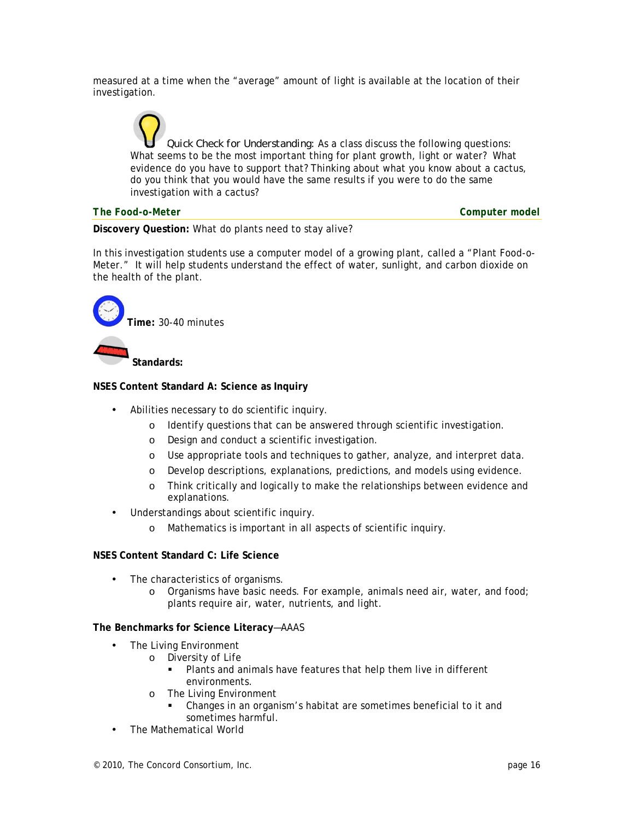measured at a time when the "average" amount of light is available at the location of their investigation.

*Quick Check for Understanding:* As a class discuss the following questions: What seems to be the most important thing for plant growth, light or water? What evidence do you have to support that? Thinking about what you know about a cactus, do you think that you would have the same results if you were to do the same investigation with a cactus?

#### *The Food-o-Meter Computer model*

**Discovery Question:** What do plants need to stay alive?

In this investigation students use a computer model of a growing plant, called a "Plant Food-o-Meter." It will help students understand the effect of water, sunlight, and carbon dioxide on the health of the plant.



#### **NSES Content Standard A: Science as Inquiry**

- Abilities necessary to do scientific inquiry.
	- o Identify questions that can be answered through scientific investigation.
	- o Design and conduct a scientific investigation.
	- o Use appropriate tools and techniques to gather, analyze, and interpret data.
	- o Develop descriptions, explanations, predictions, and models using evidence.
	- o Think critically and logically to make the relationships between evidence and explanations.
- Understandings about scientific inquiry.
	- o Mathematics is important in all aspects of scientific inquiry.

#### **NSES Content Standard C: Life Science**

- The characteristics of organisms.
	- o Organisms have basic needs. For example, animals need air, water, and food; plants require air, water, nutrients, and light.

#### **The Benchmarks for Science Literacy**—AAAS

- The Living Environment
	- o Diversity of Life
		- Plants and animals have features that help them live in different environments.
	- o The Living Environment
		- Changes in an organism's habitat are sometimes beneficial to it and sometimes harmful.
- The Mathematical World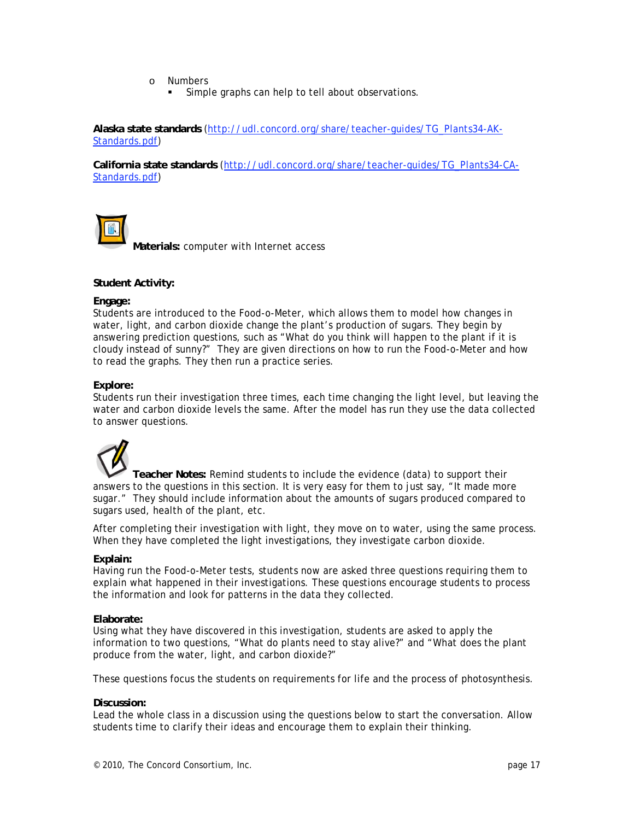- o Numbers
	- Simple graphs can help to tell about observations.

**Alaska state standards** (http://udl.concord.org/share/teacher-guides/TG\_Plants34-AK-Standards.pdf)

**California state standards** (http://udl.concord.org/share/teacher-guides/TG\_Plants34-CA-Standards.pdf)



**Materials:** computer with Internet access

#### **Student Activity:**

#### **Engage:**

Students are introduced to the Food-o-Meter, which allows them to model how changes in water, light, and carbon dioxide change the plant's production of sugars. They begin by answering prediction questions, such as "What do you think will happen to the plant if it is cloudy instead of sunny?" They are given directions on how to run the Food-o-Meter and how to read the graphs. They then run a practice series.

#### **Explore:**

Students run their investigation three times, each time changing the light level, but leaving the water and carbon dioxide levels the same. After the model has run they use the data collected to answer questions.



**Teacher Notes:** Remind students to include the evidence (data) to support their answers to the questions in this section. It is very easy for them to just say, "It made more sugar." They should include information about the amounts of sugars produced compared to sugars used, health of the plant, etc.

After completing their investigation with light, they move on to water, using the same process. When they have completed the light investigations, they investigate carbon dioxide.

#### **Explain:**

Having run the Food-o-Meter tests, students now are asked three questions requiring them to explain what happened in their investigations. These questions encourage students to process the information and look for patterns in the data they collected.

#### **Elaborate:**

Using what they have discovered in this investigation, students are asked to apply the information to two questions, "What do plants need to stay alive?" and "What does the plant produce from the water, light, and carbon dioxide?"

These questions focus the students on requirements for life and the process of photosynthesis.

#### **Discussion:**

Lead the whole class in a discussion using the questions below to start the conversation. Allow students time to clarify their ideas and encourage them to explain their thinking.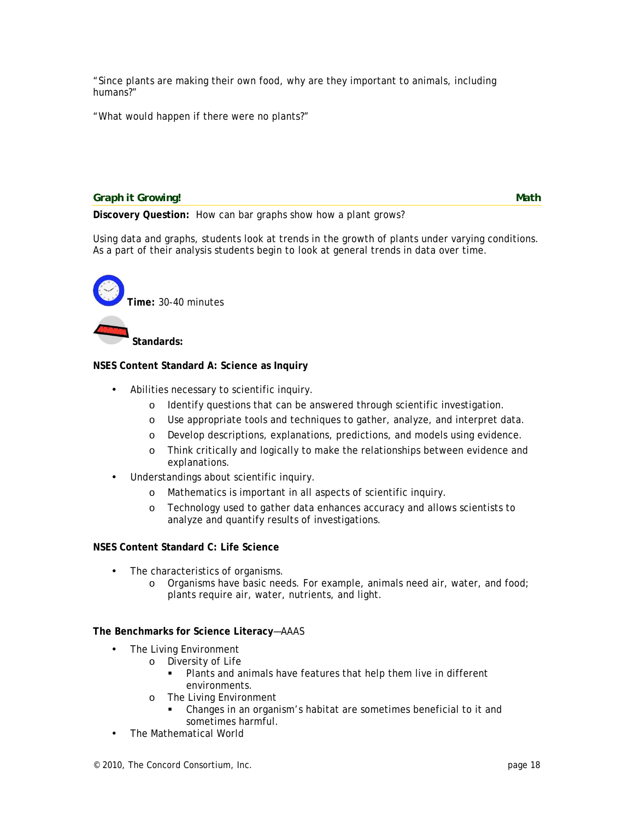"Since plants are making their own food, why are they important to animals, including humans?"

"What would happen if there were no plants?"

*Graph it Growing!* Math *Math Math Math* 

**Discovery Question:** How can bar graphs show how a plant grows?

Using data and graphs, students look at trends in the growth of plants under varying conditions. As a part of their analysis students begin to look at general trends in data over time.



#### **NSES Content Standard A: Science as Inquiry**

- Abilities necessary to scientific inquiry.
	- o Identify questions that can be answered through scientific investigation.
	- o Use appropriate tools and techniques to gather, analyze, and interpret data.
	- o Develop descriptions, explanations, predictions, and models using evidence.
	- o Think critically and logically to make the relationships between evidence and explanations.
- Understandings about scientific inquiry.
	- o Mathematics is important in all aspects of scientific inquiry.
	- o Technology used to gather data enhances accuracy and allows scientists to analyze and quantify results of investigations.

#### **NSES Content Standard C: Life Science**

- The characteristics of organisms.
	- o Organisms have basic needs. For example, animals need air, water, and food; plants require air, water, nutrients, and light.

#### **The Benchmarks for Science Literacy**—AAAS

- The Living Environment
	- o Diversity of Life
		- Plants and animals have features that help them live in different environments.
	- o The Living Environment
		- Changes in an organism's habitat are sometimes beneficial to it and sometimes harmful.
- The Mathematical World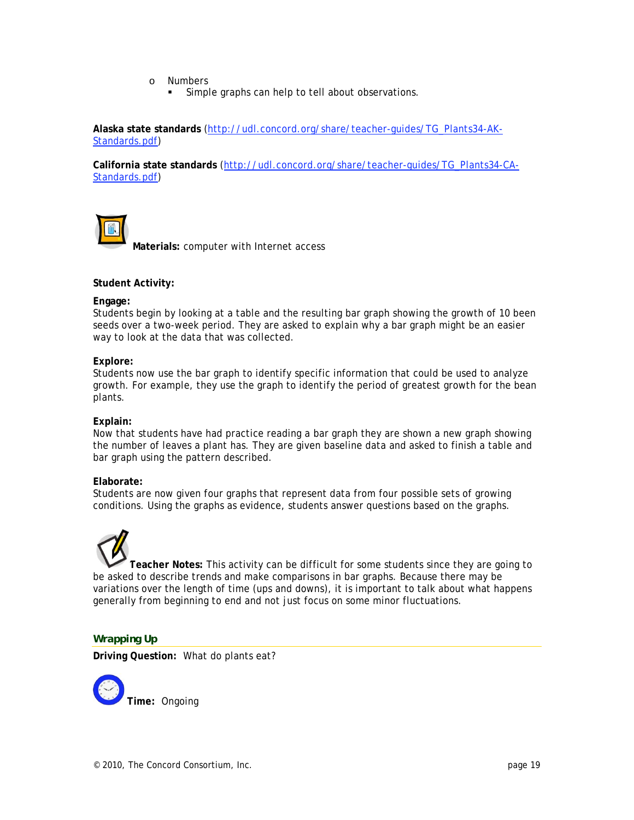- o Numbers
	- Simple graphs can help to tell about observations.

**Alaska state standards** (http://udl.concord.org/share/teacher-guides/TG\_Plants34-AK-Standards.pdf)

**California state standards** (http://udl.concord.org/share/teacher-guides/TG\_Plants34-CA-Standards.pdf)



**Materials:** computer with Internet access

#### **Student Activity:**

#### **Engage:**

Students begin by looking at a table and the resulting bar graph showing the growth of 10 been seeds over a two-week period. They are asked to explain why a bar graph might be an easier way to look at the data that was collected.

#### **Explore:**

Students now use the bar graph to identify specific information that could be used to analyze growth. For example, they use the graph to identify the period of greatest growth for the bean plants.

#### **Explain:**

Now that students have had practice reading a bar graph they are shown a new graph showing the number of leaves a plant has. They are given baseline data and asked to finish a table and bar graph using the pattern described.

#### **Elaborate:**

Students are now given four graphs that represent data from four possible sets of growing conditions. Using the graphs as evidence, students answer questions based on the graphs.

**Teacher Notes:** This activity can be difficult for some students since they are going to be asked to describe trends and make comparisons in bar graphs. Because there may be variations over the length of time (ups and downs), it is important to talk about what happens generally from beginning to end and not just focus on some minor fluctuations.

#### *Wrapping Up*

**Driving Question:** What do plants eat?

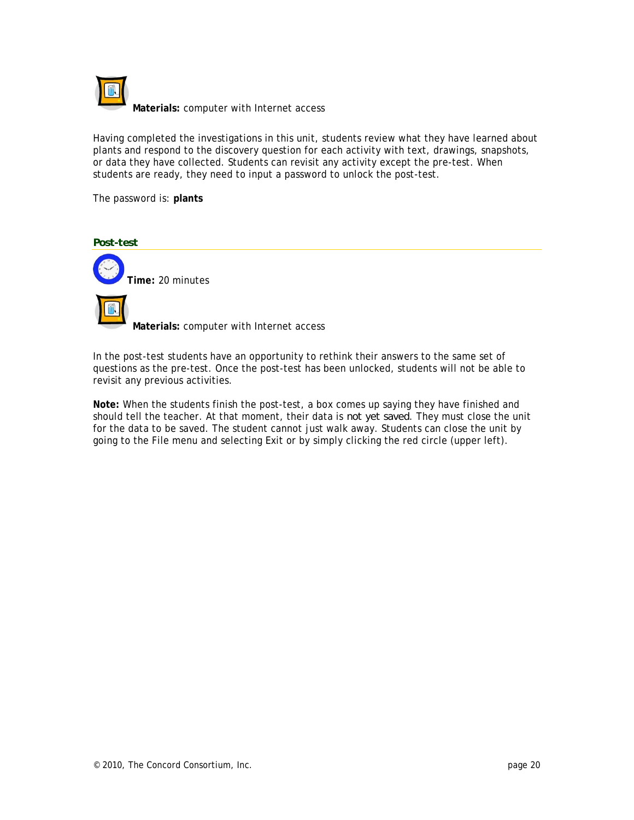

Having completed the investigations in this unit, students review what they have learned about plants and respond to the discovery question for each activity with text, drawings, snapshots, or data they have collected. Students can revisit any activity except the pre-test. When students are ready, they need to input a password to unlock the post-test.

The password is: **plants**



In the post-test students have an opportunity to rethink their answers to the same set of questions as the pre-test. Once the post-test has been unlocked, students will not be able to revisit any previous activities.

**Note:** When the students finish the post-test, a box comes up saying they have finished and should tell the teacher. At that moment, their data is *not yet saved*. They must close the unit for the data to be saved. The student cannot just walk away. Students can close the unit by going to the File menu and selecting Exit or by simply clicking the red circle (upper left).